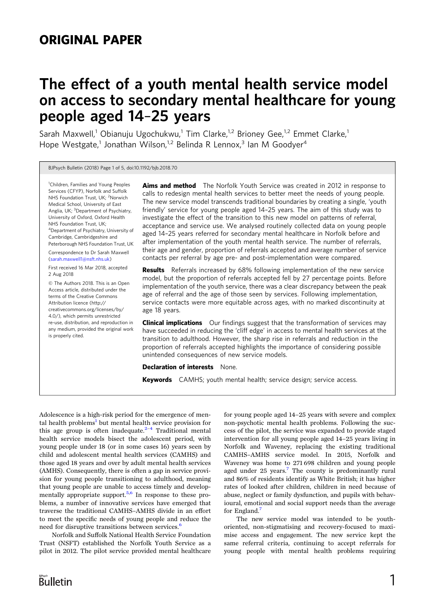## ORIGINAL PAPER

# The effect of a youth mental health service model on access to secondary mental healthcare for young people aged 14–25 years

Sarah Maxwell,<sup>1</sup> Obianuju Ugochukwu,<sup>1</sup> Tim Clarke,<sup>1,2</sup> Brioney Gee,<sup>1,2</sup> Emmet Clarke,<sup>1</sup> Hope Westgate,<sup>1</sup> Jonathan Wilson,<sup>1,2</sup> Belinda R Lennox,<sup>3</sup> Ian M Goodyer<sup>4</sup>

BJPsych Bulletin (2018) Page 1 of 5, doi:10.1192/bjb.2018.70

<sup>1</sup>Children, Families and Young Peoples Services (CFYP), Norfolk and Suffolk NHS Foundation Trust, UK; <sup>2</sup>Norwich Medical School, University of East Anglia, UK; <sup>3</sup>Department of Psychiatry, University of Oxford, Oxford Health NHS Foundation Trust, UK; 4 Department of Psychiatry, University of Cambridge, Cambridgeshire and

Peterborough NHS Foundation Trust, UK Correspondence to Dr Sarah Maxwell [\(sarah.maxwell1@nsft.nhs.uk](mailto:sarah.maxwell1@nsft.nhs.uk))

First received 16 Mar 2018, accepted 2 Aug 2018

© The Authors 2018. This is an Open Access article, distributed under the terms of the Creative Commons Attribution licence (http:// creativecommons.org/licenses/by/ 4.0/), which permits unrestricted re-use, distribution, and reproduction in any medium, provided the original work is properly cited.

**Aims and method** The Norfolk Youth Service was created in 2012 in response to calls to redesign mental health services to better meet the needs of young people. The new service model transcends traditional boundaries by creating a single, 'youth friendly' service for young people aged 14–25 years. The aim of this study was to investigate the effect of the transition to this new model on patterns of referral, acceptance and service use. We analysed routinely collected data on young people aged 14–25 years referred for secondary mental healthcare in Norfolk before and after implementation of the youth mental health service. The number of referrals, their age and gender, proportion of referrals accepted and average number of service contacts per referral by age pre- and post-implementation were compared.

**Results** Referrals increased by 68% following implementation of the new service model, but the proportion of referrals accepted fell by 27 percentage points. Before implementation of the youth service, there was a clear discrepancy between the peak age of referral and the age of those seen by services. Following implementation, service contacts were more equitable across ages, with no marked discontinuity at age 18 years.

**Clinical implications** Our findings suggest that the transformation of services may have succeeded in reducing the 'cliff edge' in access to mental health services at the transition to adulthood. However, the sharp rise in referrals and reduction in the proportion of referrals accepted highlights the importance of considering possible unintended consequences of new service models.

Declaration of interests None.

Keywords CAMHS; youth mental health; service design; service access.

Adolescence is a high-risk period for the emergence of men-tal health problems<sup>[1](#page-4-0)</sup> but mental health service provision for this age group is often inadequate. $2-4$  $2-4$  $2-4$  Traditional mental health service models bisect the adolescent period, with young people under 18 (or in some cases 16) years seen by child and adolescent mental health services (CAMHS) and those aged 18 years and over by adult mental health services (AMHS). Consequently, there is often a gap in service provision for young people transitioning to adulthood, meaning that young people are unable to access timely and develop-mentally appropriate support.<sup>[5](#page-4-0),[6](#page-4-0)</sup> In response to these problems, a number of innovative services have emerged that traverse the traditional CAMHS–AMHS divide in an effort to meet the specific needs of young people and reduce the need for disruptive transitions between services.<sup>6</sup>

Norfolk and Suffolk National Health Service Foundation Trust (NSFT) established the Norfolk Youth Service as a pilot in 2012. The pilot service provided mental healthcare

for young people aged 14–25 years with severe and complex non-psychotic mental health problems. Following the success of the pilot, the service was expanded to provide staged intervention for all young people aged 14–25 years living in Norfolk and Waveney, replacing the existing traditional CAMHS–AMHS service model. In 2015, Norfolk and Waveney was home to 271 698 children and young people aged under  $25$  years.<sup>7</sup> The county is predominantly rural and 86% of residents identify as White British; it has higher rates of looked after children, children in need because of abuse, neglect or family dysfunction, and pupils with behavioural, emotional and social support needs than the average for England.<sup>[7](#page-4-0)</sup>

The new service model was intended to be youthoriented, non-stigmatising and recovery-focused to maximise access and engagement. The new service kept the same referral criteria, continuing to accept referrals for young people with mental health problems requiring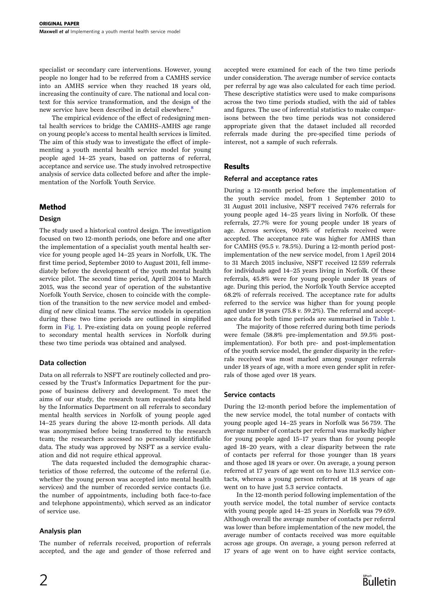specialist or secondary care interventions. However, young people no longer had to be referred from a CAMHS service into an AMHS service when they reached 18 years old, increasing the continuity of care. The national and local context for this service transformation, and the design of the new service have been described in detail elsewhere.<sup>8</sup>

The empirical evidence of the effect of redesigning mental health services to bridge the CAMHS–AMHS age range on young people's access to mental health services is limited. The aim of this study was to investigate the effect of implementing a youth mental health service model for young people aged 14–25 years, based on patterns of referral, acceptance and service use. The study involved retrospective analysis of service data collected before and after the implementation of the Norfolk Youth Service.

## Method

#### Design

The study used a historical control design. The investigation focused on two 12-month periods, one before and one after the implementation of a specialist youth mental health service for young people aged 14–25 years in Norfolk, UK. The first time period, September 2010 to August 2011, fell immediately before the development of the youth mental health service pilot. The second time period, April 2014 to March 2015, was the second year of operation of the substantive Norfolk Youth Service, chosen to coincide with the completion of the transition to the new service model and embedding of new clinical teams. The service models in operation during these two time periods are outlined in simplified form in [Fig. 1](#page-2-0). Pre-existing data on young people referred to secondary mental health services in Norfolk during these two time periods was obtained and analysed.

## Data collection

Data on all referrals to NSFT are routinely collected and processed by the Trust's Informatics Department for the purpose of business delivery and development. To meet the aims of our study, the research team requested data held by the Informatics Department on all referrals to secondary mental health services in Norfolk of young people aged 14–25 years during the above 12-month periods. All data was anonymised before being transferred to the research team; the researchers accessed no personally identifiable data. The study was approved by NSFT as a service evaluation and did not require ethical approval.

The data requested included the demographic characteristics of those referred, the outcome of the referral (i.e. whether the young person was accepted into mental health services) and the number of recorded service contacts (i.e. the number of appointments, including both face-to-face and telephone appointments), which served as an indicator of service use.

#### Analysis plan

The number of referrals received, proportion of referrals accepted, and the age and gender of those referred and accepted were examined for each of the two time periods under consideration. The average number of service contacts per referral by age was also calculated for each time period. These descriptive statistics were used to make comparisons across the two time periods studied, with the aid of tables and figures. The use of inferential statistics to make comparisons between the two time periods was not considered appropriate given that the dataset included all recorded referrals made during the pre-specified time periods of interest, not a sample of such referrals.

## **Results**

#### Referral and acceptance rates

During a 12-month period before the implementation of the youth service model, from 1 September 2010 to 31 August 2011 inclusive, NSFT received 7476 referrals for young people aged 14–25 years living in Norfolk. Of these referrals, 27.7% were for young people under 18 years of age. Across services, 90.8% of referrals received were accepted. The acceptance rate was higher for AMHS than for CAMHS (95.5 v. 78.5%). During a 12-month period postimplementation of the new service model, from 1 April 2014 to 31 March 2015 inclusive, NSFT received 12 559 referrals for individuals aged 14–25 years living in Norfolk. Of these referrals, 45.8% were for young people under 18 years of age. During this period, the Norfolk Youth Service accepted 68.2% of referrals received. The acceptance rate for adults referred to the service was higher than for young people aged under 18 years (75.8 v. 59.2%). The referral and acceptance data for both time periods are summarised in [Table 1](#page-2-0).

The majority of those referred during both time periods were female (58.8% pre-implementation and 59.5% postimplementation). For both pre- and post-implementation of the youth service model, the gender disparity in the referrals received was most marked among younger referrals under 18 years of age, with a more even gender split in referrals of those aged over 18 years.

#### Service contacts

During the 12-month period before the implementation of the new service model, the total number of contacts with young people aged 14–25 years in Norfolk was 56 759. The average number of contacts per referral was markedly higher for young people aged 15–17 years than for young people aged 18–20 years, with a clear disparity between the rate of contacts per referral for those younger than 18 years and those aged 18 years or over. On average, a young person referred at 17 years of age went on to have 11.3 service contacts, whereas a young person referred at 18 years of age went on to have just 5.3 service contacts.

In the 12-month period following implementation of the youth service model, the total number of service contacts with young people aged 14–25 years in Norfolk was 79 659. Although overall the average number of contacts per referral was lower than before implementation of the new model, the average number of contacts received was more equitable across age groups. On average, a young person referred at 17 years of age went on to have eight service contacts,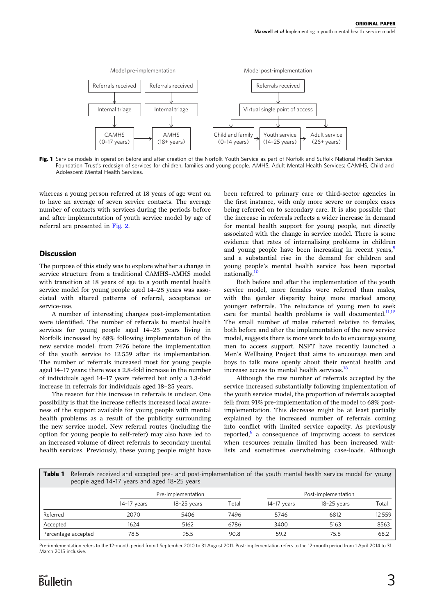<span id="page-2-0"></span>

Fig. 1 Service models in operation before and after creation of the Norfolk Youth Service as part of Norfolk and Suffolk National Health Service Foundation Trust's redesign of services for children, families and young people. AMHS, Adult Mental Health Services; CAMHS, Child and Adolescent Mental Health Services.

whereas a young person referred at 18 years of age went on to have an average of seven service contacts. The average number of contacts with services during the periods before and after implementation of youth service model by age of referral are presented in [Fig. 2.](#page-3-0)

#### **Discussion**

The purpose of this study was to explore whether a change in service structure from a traditional CAMHS–AMHS model with transition at 18 years of age to a youth mental health service model for young people aged 14–25 years was associated with altered patterns of referral, acceptance or service-use.

A number of interesting changes post-implementation were identified. The number of referrals to mental health services for young people aged 14–25 years living in Norfolk increased by 68% following implementation of the new service model: from 7476 before the implementation of the youth service to 12 559 after its implementation. The number of referrals increased most for young people aged 14–17 years: there was a 2.8-fold increase in the number of individuals aged 14–17 years referred but only a 1.3-fold increase in referrals for individuals aged 18–25 years.

The reason for this increase in referrals is unclear. One possibility is that the increase reflects increased local awareness of the support available for young people with mental health problems as a result of the publicity surrounding the new service model. New referral routes (including the option for young people to self-refer) may also have led to an increased volume of direct referrals to secondary mental health services. Previously, these young people might have

been referred to primary care or third-sector agencies in the first instance, with only more severe or complex cases being referred on to secondary care. It is also possible that the increase in referrals reflects a wider increase in demand for mental health support for young people, not directly associated with the change in service model. There is some evidence that rates of internalising problems in children and young people have been increasing in recent years,<sup>[9](#page-4-0)</sup> and a substantial rise in the demand for children and young people's mental health service has been reported nationally[.10](#page-4-0)

Both before and after the implementation of the youth service model, more females were referred than males, with the gender disparity being more marked among younger referrals. The reluctance of young men to seek care for mental health problems is well documented.<sup>[11,12](#page-4-0)</sup> The small number of males referred relative to females, both before and after the implementation of the new service model, suggests there is more work to do to encourage young men to access support. NSFT have recently launched a Men's Wellbeing Project that aims to encourage men and boys to talk more openly about their mental health and increase access to mental health services.<sup>[13](#page-4-0)</sup>

Although the raw number of referrals accepted by the service increased substantially following implementation of the youth service model, the proportion of referrals accepted fell: from 91% pre-implementation of the model to 68% postimplementation. This decrease might be at least partially explained by the increased number of referrals coming into conflict with limited service capacity. As previously reported, $8$  a consequence of improving access to services when resources remain limited has been increased waitlists and sometimes overwhelming case-loads. Although

| Table 1  | Referrals received and accepted pre- and post-implementation of the youth mental health service model for young<br>people aged 14-17 years and aged 18-25 years |                    |               |       |                     |               |          |
|----------|-----------------------------------------------------------------------------------------------------------------------------------------------------------------|--------------------|---------------|-------|---------------------|---------------|----------|
|          |                                                                                                                                                                 | Pre-implementation |               |       | Post-implementation |               |          |
|          |                                                                                                                                                                 | $14-17$ years      | $18-25$ years | Total | $14-17$ years       | $18-25$ years | Total    |
| Referred |                                                                                                                                                                 | 2070               | 5406          | 7496  | 5746                | 6812          | 12 5 5 9 |
| Accepted |                                                                                                                                                                 | 1624               | 5162          | 6786  | 3400                | 5163          | 8563     |
|          | Percentage accepted                                                                                                                                             | 78.5               | 95.5          | 90.8  | 59.2                | 75.8          | 68.2     |

Pre-implementation refers to the 12-month period from 1 September 2010 to 31 August 2011. Post-implementation refers to the 12-month period from 1 April 2014 to 31 March 2015 inclusive.

## **Rulletin**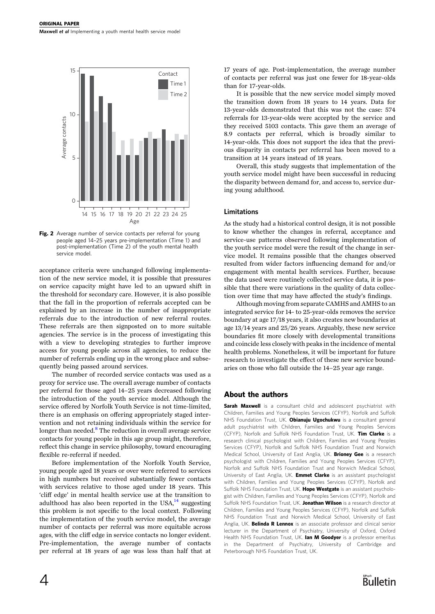<span id="page-3-0"></span>

Fig. 2 Average number of service contacts per referral for young people aged 14–25 years pre-implementation (Time 1) and post-implementation (Time 2) of the youth mental health service model.

acceptance criteria were unchanged following implementation of the new service model, it is possible that pressures on service capacity might have led to an upward shift in the threshold for secondary care. However, it is also possible that the fall in the proportion of referrals accepted can be explained by an increase in the number of inappropriate referrals due to the introduction of new referral routes. These referrals are then signposted on to more suitable agencies. The service is in the process of investigating this with a view to developing strategies to further improve access for young people across all agencies, to reduce the number of referrals ending up in the wrong place and subsequently being passed around services.

The number of recorded service contacts was used as a proxy for service use. The overall average number of contacts per referral for those aged 14–25 years decreased following the introduction of the youth service model. Although the service offered by Norfolk Youth Service is not time-limited, there is an emphasis on offering appropriately staged intervention and not retaining individuals within the service for longer than needed.<sup>8</sup> The reduction in overall average service contacts for young people in this age group might, therefore, reflect this change in service philosophy, toward encouraging flexible re-referral if needed.

Before implementation of the Norfolk Youth Service, young people aged 18 years or over were referred to services in high numbers but received substantially fewer contacts with services relative to those aged under 18 years. This 'cliff edge' in mental health service use at the transition to adulthood has also been reported in the USA, $^{14}$  $^{14}$  $^{14}$  suggesting this problem is not specific to the local context. Following the implementation of the youth service model, the average number of contacts per referral was more equitable across ages, with the cliff edge in service contacts no longer evident. Pre-implementation, the average number of contacts per referral at 18 years of age was less than half that at 17 years of age. Post-implementation, the average number of contacts per referral was just one fewer for 18-year-olds than for 17-year-olds.

It is possible that the new service model simply moved the transition down from 18 years to 14 years. Data for 13-year-olds demonstrated that this was not the case: 574 referrals for 13-year-olds were accepted by the service and they received 5103 contacts. This gave them an average of 8.9 contacts per referral, which is broadly similar to 14-year-olds. This does not support the idea that the previous disparity in contacts per referral has been moved to a transition at 14 years instead of 18 years.

Overall, this study suggests that implementation of the youth service model might have been successful in reducing the disparity between demand for, and access to, service during young adulthood.

#### Limitations

As the study had a historical control design, it is not possible to know whether the changes in referral, acceptance and service-use patterns observed following implementation of the youth service model were the result of the change in service model. It remains possible that the changes observed resulted from wider factors influencing demand for and/or engagement with mental health services. Further, because the data used were routinely collected service data, it is possible that there were variations in the quality of data collection over time that may have affected the study's findings.

Although moving from separate CAMHS and AMHS to an integrated service for 14- to 25-year-olds removes the service boundary at age 17/18 years, it also creates new boundaries at age 13/14 years and 25/26 years. Arguably, these new service boundaries fit more closely with developmental transitions and coincide less closely with peaks in the incidence of mental health problems. Nonetheless, it will be important for future research to investigate the effect of these new service boundaries on those who fall outside the 14–25 year age range.

#### About the authors

**Sarah Maxwell** is a consultant child and adolescent psychiatrist with Children, Families and Young Peoples Services (CFYP), Norfolk and Suffolk NHS Foundation Trust, UK. **Obianuju Ugochukwu** is a consultant general adult psychiatrist with Children, Families and Young Peoples Services (CFYP), Norfolk and Suffolk NHS Foundation Trust, UK. Tim Clarke is a research clinical psychologist with Children, Families and Young Peoples Services (CFYP), Norfolk and Suffolk NHS Foundation Trust and Norwich Medical School, University of East Anglia, UK. Brioney Gee is a research psychologist with Children, Families and Young Peoples Services (CFYP), Norfolk and Suffolk NHS Foundation Trust and Norwich Medical School, University of East Anglia, UK. **Emmet Clarke** is an assistant psychologist with Children, Families and Young Peoples Services (CFYP), Norfolk and Suffolk NHS Foundation Trust, UK. Hope Westgate is an assistant psychologist with Children, Families and Young Peoples Services (CFYP), Norfolk and Suffolk NHS Foundation Trust, UK. Jonathan Wilson is a research director at Children, Families and Young Peoples Services (CFYP), Norfolk and Suffolk NHS Foundation Trust and Norwich Medical School, University of East Anglia, UK. **Belinda R Lennox** is an associate professor and clinical senior lecturer in the Department of Psychiatry, University of Oxford, Oxford Health NHS Foundation Trust, UK. Ian M Goodyer is a professor emeritus in the Department of Psychiatry, University of Cambridge and Peterborough NHS Foundation Trust, UK.